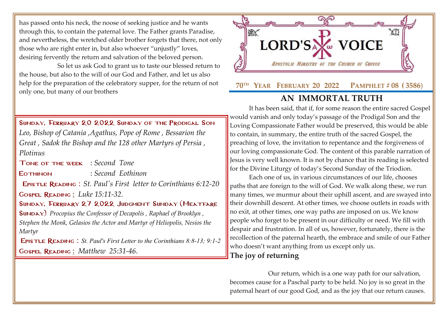has passed onto his neck, the noose of seeking justice and he wants through this, to contain the paternal love. The Father grants Paradise, and nevertheless, the wretched older brother forgets that there, not only those who are right enter in, but also whoever "unjustly" loves, desiring fervently the return and salvation of the beloved person.

So let us ask God to grant us to taste our blessed return to the house, but also to the will of our God and Father, and let us also help for the preparation of the celebratory supper, for the return of not only one, but many of our brothers



Tone of the week : *Second Tone*

Eothinon : *Second Eothinon*

Epistle Reading : *[St. Paul's First letter to Corinthians 6:12-20](http://www.goarch.org/chapel/lectionary?type=E&code=110&event=291&date=11/14/2021)*

Gospel Reading **[:](http://www.goarch.org/chapel/lectionary?type=G&code=362&event=218)** *[Luke 15:11-32.](http://www.goarch.org/chapel/lectionary?type=G&code=402&event=408)*

SUNDAY, FEBRUARY 27 2022 JUDGMENT SUNDAY (MEATFARE [Sunday\)](http://www.goarch.org/chapel/saints?contentid=1016&PCode=MEATS&D=S&date=02/27/2022) *[Procopius the Confessor of Decapolis](http://www.goarch.org/chapel/saints?contentid=443) , [Raphael of Brooklyn](http://www.goarch.org/chapel/saints?contentid=1885) , Stephen the Monk, Gelasios the Actor and Martyr of Heliopolis, Nesios the Martyr*

Epistle Reading : *St. Paul's First Letter to the Corinthians 8:8-13; 9:1-2* Gospel Reading **[:](http://www.goarch.org/chapel/lectionary?type=G&code=362&event=218)** *[Matthew 25:31-46.](http://www.goarch.org/chapel/lectionary?type=G&code=402&event=408)*



## **AN IMMORTAL TRUTH**

It has been said, that if, for some reason the entire sacred Gospel would vanish and only today's passage of the Prodigal Son and the Loving Compassionate Father would be preserved, this would be able to contain, in summary, the entire truth of the sacred Gospel, the preaching of love, the invitation to repentance and the forgiveness of our loving compassionate God. The content of this parable narration of Jesus is very well known. It is not by chance that its reading is selected for the Divine Liturgy of today's Second Sunday of the Triodion.

Each one of us, in various circumstances of our life, chooses paths that are foreign to the will of God. We walk along these, we run many times, we murmur about their uphill ascent, and are swayed into their downhill descent. At other times, we choose outlets in roads with no exit, at other times, one way paths are imposed on us. We know people who forget to be present in our difficulty or need. We fill with despair and frustration. In all of us, however, fortunately, there is the recollection of the paternal hearth, the embrace and smile of our Father who doesn't want anything from us except only us.

## **The joy of returning**

Our return, which is a one way path for our salvation, becomes cause for a Paschal party to be held. No joy is so great in the paternal heart of our good God, and as the joy that our return causes.